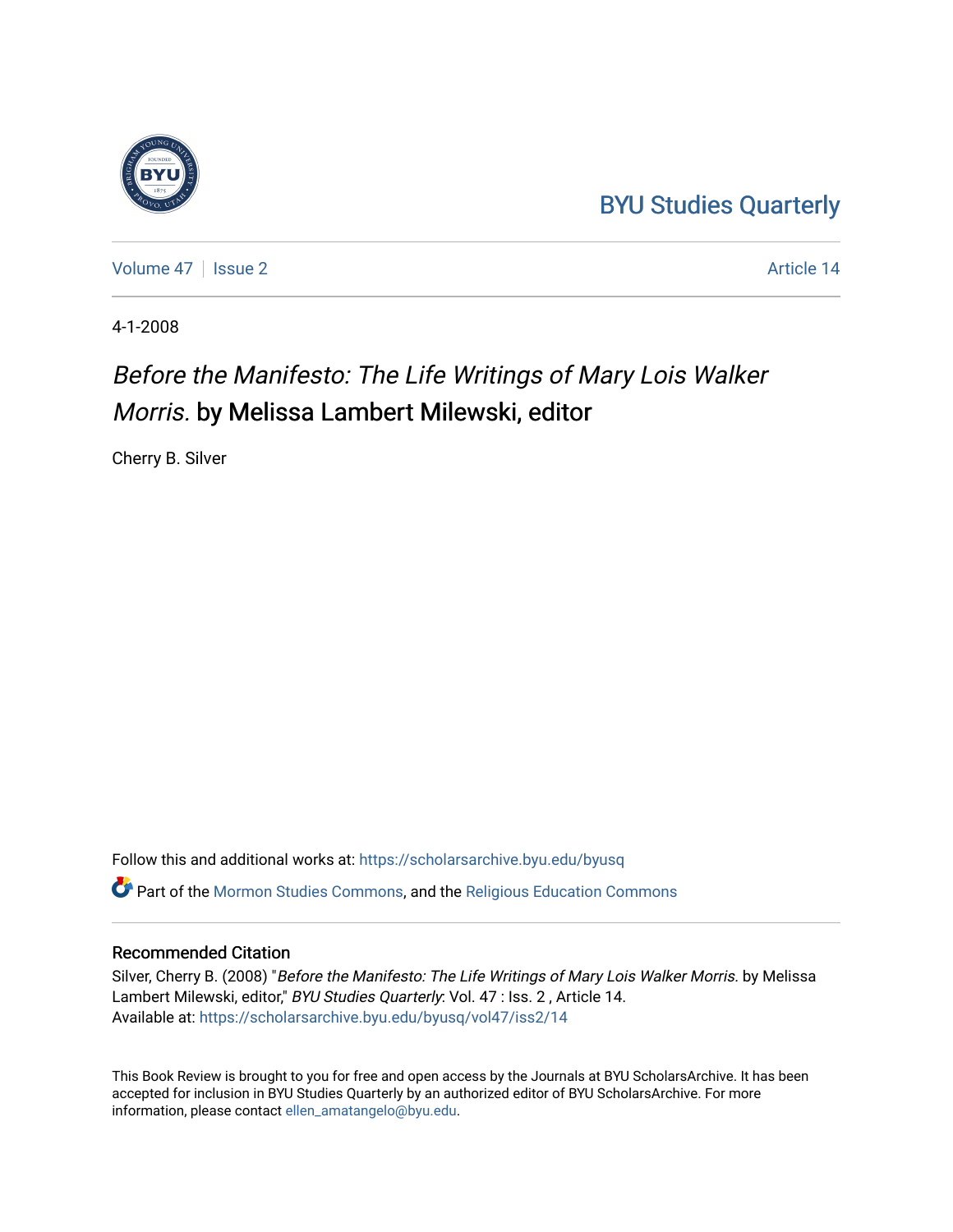## [BYU Studies Quarterly](https://scholarsarchive.byu.edu/byusq)

[Volume 47](https://scholarsarchive.byu.edu/byusq/vol47) | [Issue 2](https://scholarsarchive.byu.edu/byusq/vol47/iss2) Article 14

4-1-2008

## Before the Manifesto: The Life Writings of Mary Lois Walker Morris. by Melissa Lambert Milewski, editor

Cherry B. Silver

Follow this and additional works at: [https://scholarsarchive.byu.edu/byusq](https://scholarsarchive.byu.edu/byusq?utm_source=scholarsarchive.byu.edu%2Fbyusq%2Fvol47%2Fiss2%2F14&utm_medium=PDF&utm_campaign=PDFCoverPages)  Part of the [Mormon Studies Commons](http://network.bepress.com/hgg/discipline/1360?utm_source=scholarsarchive.byu.edu%2Fbyusq%2Fvol47%2Fiss2%2F14&utm_medium=PDF&utm_campaign=PDFCoverPages), and the [Religious Education Commons](http://network.bepress.com/hgg/discipline/1414?utm_source=scholarsarchive.byu.edu%2Fbyusq%2Fvol47%2Fiss2%2F14&utm_medium=PDF&utm_campaign=PDFCoverPages) 

## Recommended Citation

Silver, Cherry B. (2008) "Before the Manifesto: The Life Writings of Mary Lois Walker Morris. by Melissa Lambert Milewski, editor," BYU Studies Quarterly: Vol. 47 : Iss. 2, Article 14. Available at: [https://scholarsarchive.byu.edu/byusq/vol47/iss2/14](https://scholarsarchive.byu.edu/byusq/vol47/iss2/14?utm_source=scholarsarchive.byu.edu%2Fbyusq%2Fvol47%2Fiss2%2F14&utm_medium=PDF&utm_campaign=PDFCoverPages) 

This Book Review is brought to you for free and open access by the Journals at BYU ScholarsArchive. It has been accepted for inclusion in BYU Studies Quarterly by an authorized editor of BYU ScholarsArchive. For more information, please contact [ellen\\_amatangelo@byu.edu.](mailto:ellen_amatangelo@byu.edu)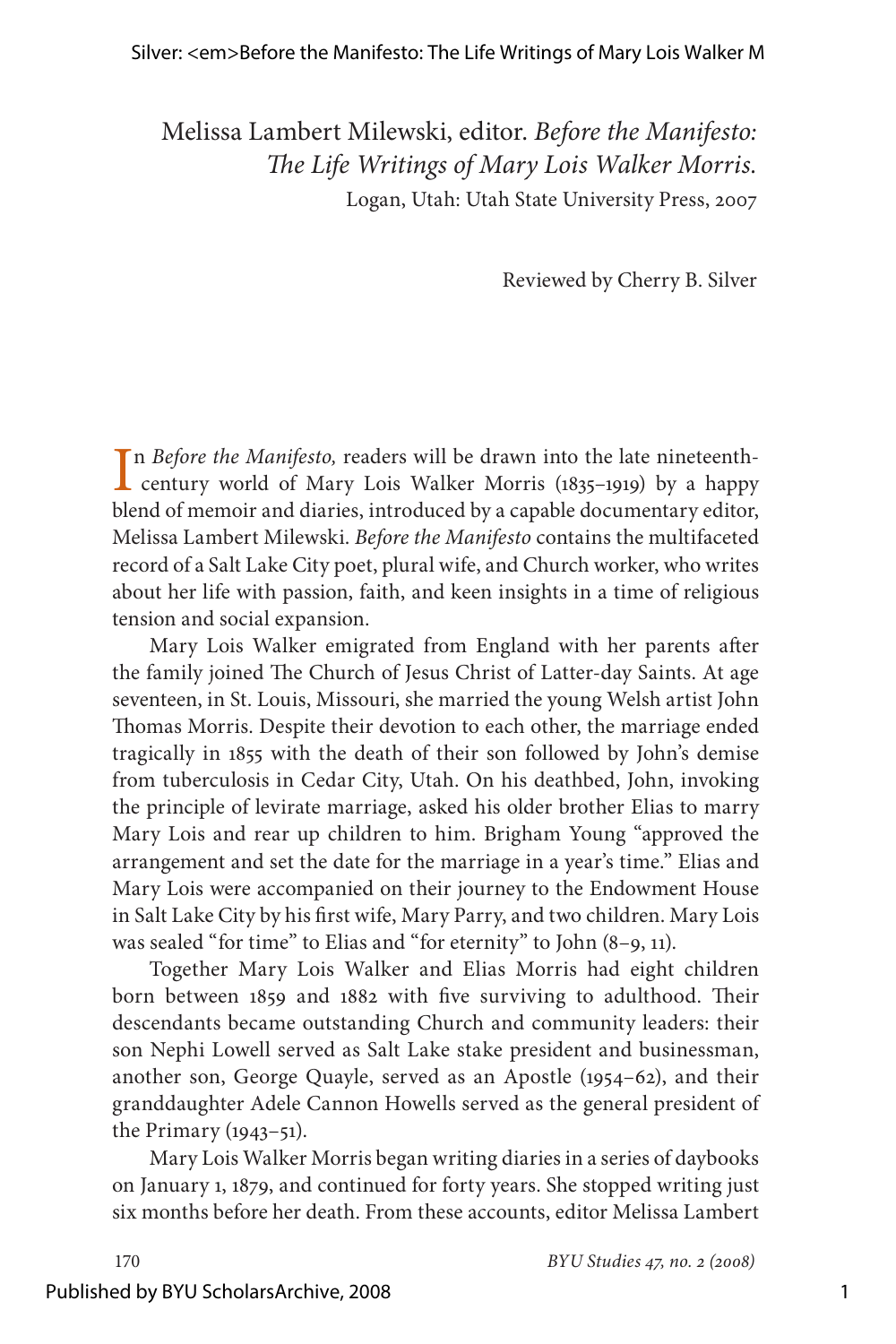Melissa Lambert Milewski, editor. *Before the Manifesto: The Life Writings of Mary Lois Walker Morris.* Logan, Utah: Utah State University Press, 2007

Reviewed by Cherry B. Silver

In Before the Manifesto, readers will be drawn into the late nineteenth-<br>century world of Mary Lois Walker Morris (1835–1919) by a happy n *Before the Manifesto,* readers will be drawn into the late nineteenthblend of memoir and diaries, introduced by a capable documentary editor, Melissa Lambert Milewski. *Before the Manifesto* contains the multifaceted record of a Salt Lake City poet, plural wife, and Church worker, who writes about her life with passion, faith, and keen insights in a time of religious tension and social expansion.

Mary Lois Walker emigrated from England with her parents after the family joined The Church of Jesus Christ of Latter-day Saints. At age seventeen, in St. Louis, Missouri, she married the young Welsh artist John Thomas Morris. Despite their devotion to each other, the marriage ended tragically in 1855 with the death of their son followed by John's demise from tuberculosis in Cedar City, Utah. On his deathbed, John, invoking the principle of levirate marriage, asked his older brother Elias to marry Mary Lois and rear up children to him. Brigham Young "approved the arrangement and set the date for the marriage in a year's time." Elias and Mary Lois were accompanied on their journey to the Endowment House in Salt Lake City by his first wife, Mary Parry, and two children. Mary Lois was sealed "for time" to Elias and "for eternity" to John (8–9, 11).

Together Mary Lois Walker and Elias Morris had eight children born between 1859 and 1882 with five surviving to adulthood. Their descendants became outstanding Church and community leaders: their son Nephi Lowell served as Salt Lake stake president and businessman, another son, George Quayle, served as an Apostle (1954–62), and their granddaughter Adele Cannon Howells served as the general president of the Primary (1943–51).

Mary Lois Walker Morris began writing diaries in a series of daybooks on January 1, 1879, and continued for forty years. She stopped writing just six months before her death. From these accounts, editor Melissa Lambert

## Published by BYU ScholarsArchive, 2008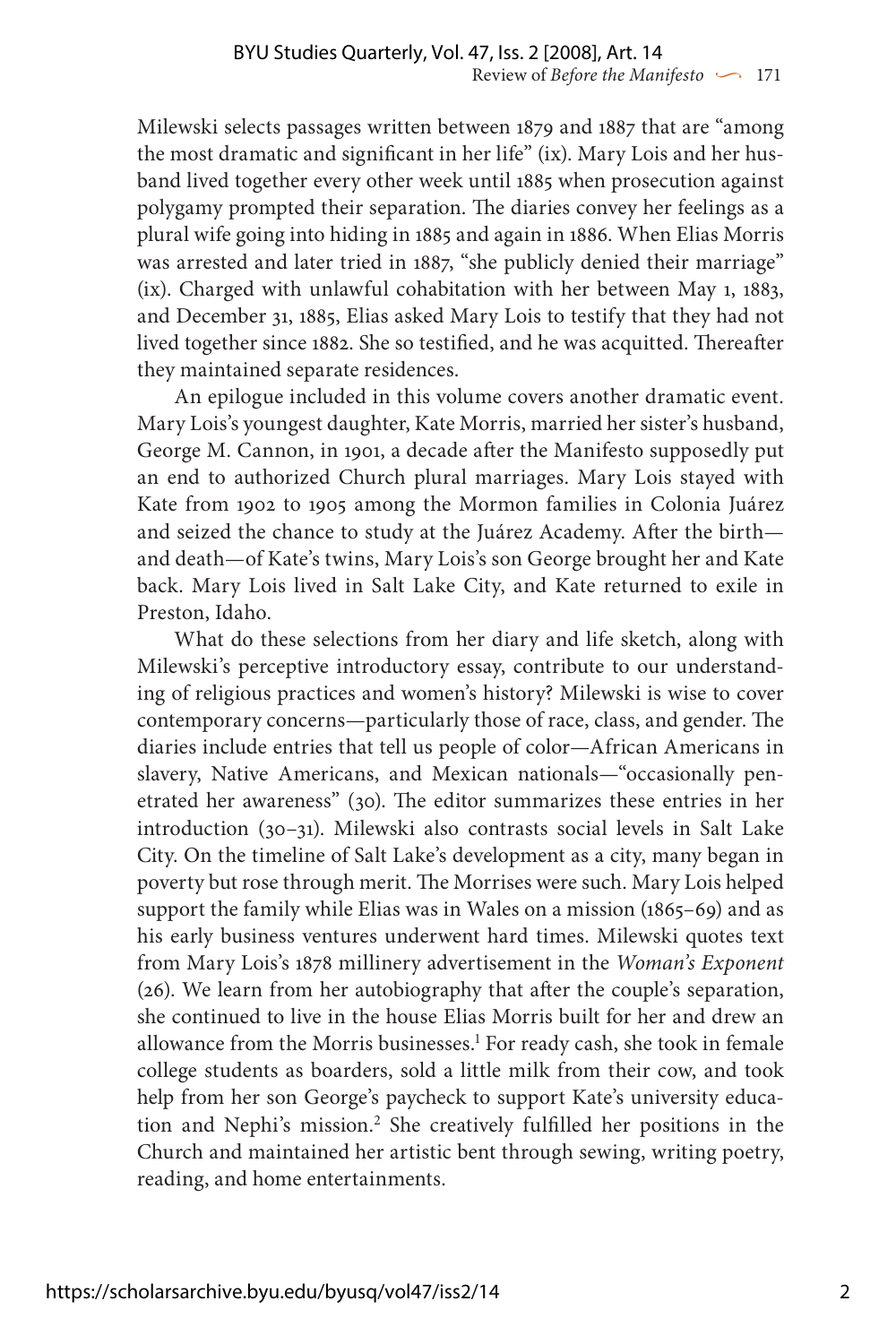Milewski selects passages written between 1879 and 1887 that are "among the most dramatic and significant in her life" (ix). Mary Lois and her husband lived together every other week until 1885 when prosecution against polygamy prompted their separation. The diaries convey her feelings as a plural wife going into hiding in 1885 and again in 1886. When Elias Morris was arrested and later tried in 1887, "she publicly denied their marriage" (ix). Charged with unlawful cohabitation with her between May 1, 1883, and December 31, 1885, Elias asked Mary Lois to testify that they had not lived together since 1882. She so testified, and he was acquitted. Thereafter they maintained separate residences.

An epilogue included in this volume covers another dramatic event. Mary Lois's youngest daughter, Kate Morris, married her sister's husband, George M. Cannon, in 1901, a decade after the Manifesto supposedly put an end to authorized Church plural marriages. Mary Lois stayed with Kate from 1902 to 1905 among the Mormon families in Colonia Juárez and seized the chance to study at the Juárez Academy. After the birth and death—of Kate's twins, Mary Lois's son George brought her and Kate back. Mary Lois lived in Salt Lake City, and Kate returned to exile in Preston, Idaho.

What do these selections from her diary and life sketch, along with Milewski's perceptive introductory essay, contribute to our understanding of religious practices and women's history? Milewski is wise to cover contemporary concerns—particularly those of race, class, and gender. The diaries include entries that tell us people of color—African Americans in slavery, Native Americans, and Mexican nationals—"occasionally penetrated her awareness" (30). The editor summarizes these entries in her introduction (30–31). Milewski also contrasts social levels in Salt Lake City. On the timeline of Salt Lake's development as a city, many began in poverty but rose through merit. The Morrises were such. Mary Lois helped support the family while Elias was in Wales on a mission (1865–69) and as his early business ventures underwent hard times. Milewski quotes text from Mary Lois's 1878 millinery advertisement in the *Woman's Exponent*  (26). We learn from her autobiography that after the couple's separation, she continued to live in the house Elias Morris built for her and drew an allowance from the Morris businesses.<sup>1</sup> For ready cash, she took in female college students as boarders, sold a little milk from their cow, and took help from her son George's paycheck to support Kate's university education and Nephi's mission.2 She creatively fulfilled her positions in the Church and maintained her artistic bent through sewing, writing poetry, reading, and home entertainments.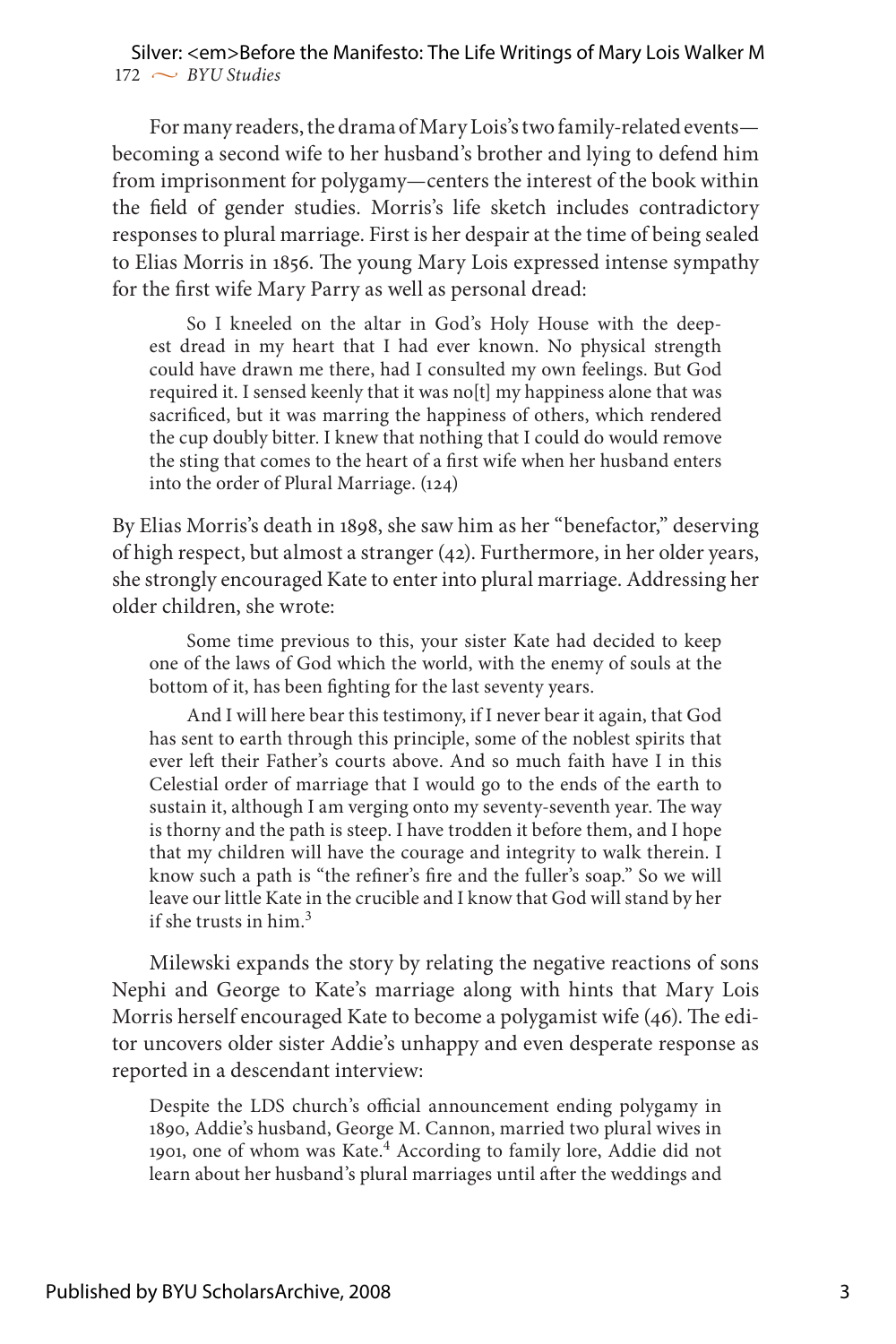$172 \sim BVU$  Studies Silver: <em>Before the Manifesto: The Life Writings of Mary Lois Walker M

For many readers, the drama of Mary Lois's two family-related events becoming a second wife to her husband's brother and lying to defend him from imprisonment for polygamy—centers the interest of the book within the field of gender studies. Morris's life sketch includes contradictory responses to plural marriage. First is her despair at the time of being sealed to Elias Morris in 1856. The young Mary Lois expressed intense sympathy for the first wife Mary Parry as well as personal dread:

So I kneeled on the altar in God's Holy House with the deepest dread in my heart that I had ever known. No physical strength could have drawn me there, had I consulted my own feelings. But God required it. I sensed keenly that it was no[t] my happiness alone that was sacrificed, but it was marring the happiness of others, which rendered the cup doubly bitter. I knew that nothing that I could do would remove the sting that comes to the heart of a first wife when her husband enters into the order of Plural Marriage. (124)

By Elias Morris's death in 1898, she saw him as her "benefactor," deserving of high respect, but almost a stranger (42). Furthermore, in her older years, she strongly encouraged Kate to enter into plural marriage. Addressing her older children, she wrote:

Some time previous to this, your sister Kate had decided to keep one of the laws of God which the world, with the enemy of souls at the bottom of it, has been fighting for the last seventy years.

And I will here bear this testimony, if I never bear it again, that God has sent to earth through this principle, some of the noblest spirits that ever left their Father's courts above. And so much faith have I in this Celestial order of marriage that I would go to the ends of the earth to sustain it, although I am verging onto my seventy-seventh year. The way is thorny and the path is steep. I have trodden it before them, and I hope that my children will have the courage and integrity to walk therein. I know such a path is "the refiner's fire and the fuller's soap." So we will leave our little Kate in the crucible and I know that God will stand by her if she trusts in him. $3$ 

Milewski expands the story by relating the negative reactions of sons Nephi and George to Kate's marriage along with hints that Mary Lois Morris herself encouraged Kate to become a polygamist wife (46). The editor uncovers older sister Addie's unhappy and even desperate response as reported in a descendant interview:

Despite the LDS church's official announcement ending polygamy in 1890, Addie's husband, George M. Cannon, married two plural wives in 1901, one of whom was Kate.<sup>4</sup> According to family lore, Addie did not learn about her husband's plural marriages until after the weddings and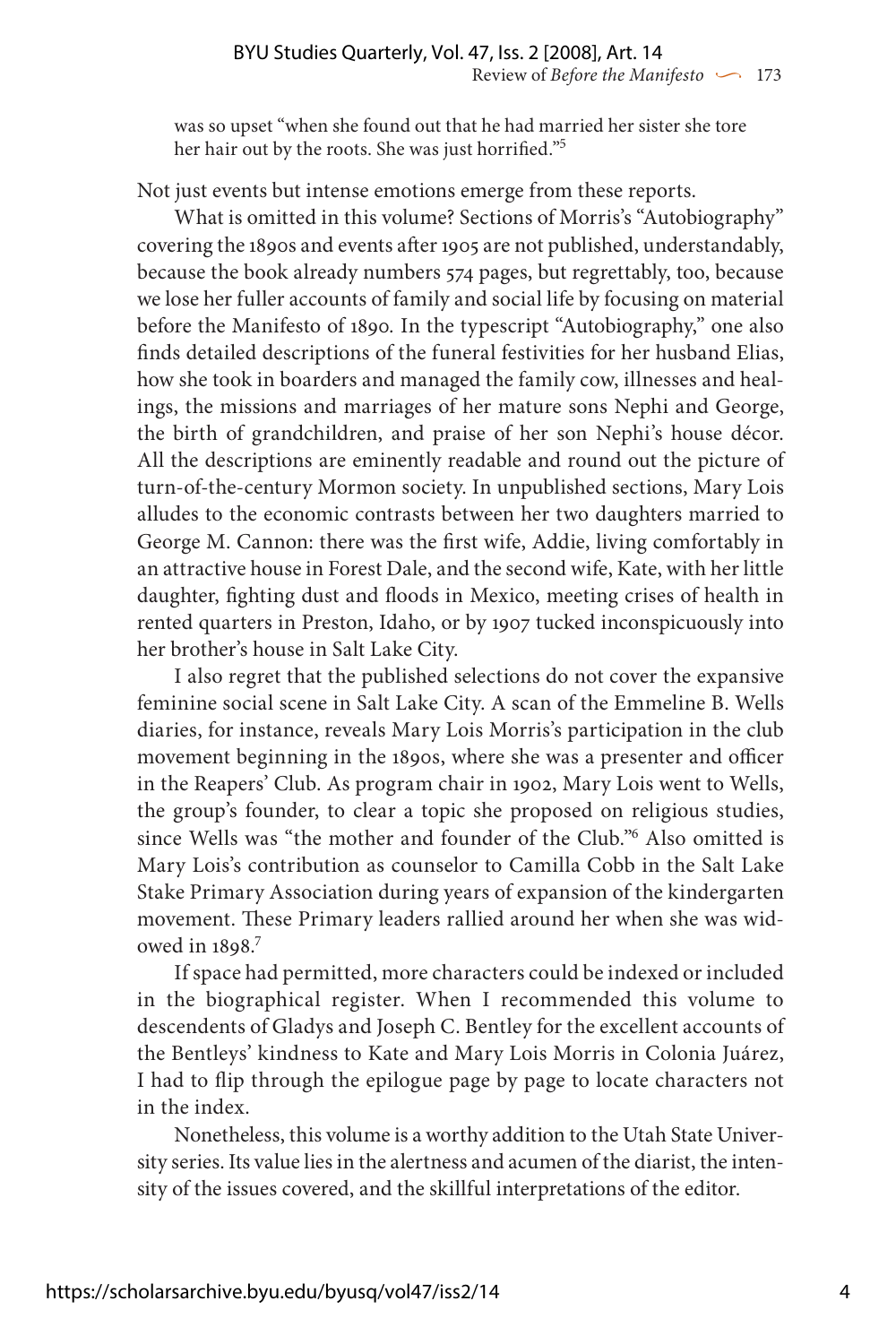was so upset "when she found out that he had married her sister she tore her hair out by the roots. She was just horrified."5

Not just events but intense emotions emerge from these reports.

What is omitted in this volume? Sections of Morris's "Autobiography" covering the 1890s and events after 1905 are not published, understandably, because the book already numbers 574 pages, but regrettably, too, because we lose her fuller accounts of family and social life by focusing on material before the Manifesto of 1890*.* In the typescript "Autobiography," one also finds detailed descriptions of the funeral festivities for her husband Elias, how she took in boarders and managed the family cow, illnesses and healings, the missions and marriages of her mature sons Nephi and George, the birth of grandchildren, and praise of her son Nephi's house décor. All the descriptions are eminently readable and round out the picture of turn-of-the-century Mormon society. In unpublished sections, Mary Lois alludes to the economic contrasts between her two daughters married to George M. Cannon: there was the first wife, Addie, living comfortably in an attractive house in Forest Dale, and the second wife, Kate, with her little daughter, fighting dust and floods in Mexico, meeting crises of health in rented quarters in Preston, Idaho, or by 1907 tucked inconspicuously into her brother's house in Salt Lake City.

I also regret that the published selections do not cover the expansive feminine social scene in Salt Lake City. A scan of the Emmeline B. Wells diaries, for instance, reveals Mary Lois Morris's participation in the club movement beginning in the 1890s, where she was a presenter and officer in the Reapers' Club. As program chair in 1902, Mary Lois went to Wells, the group's founder, to clear a topic she proposed on religious studies, since Wells was "the mother and founder of the Club."6 Also omitted is Mary Lois's contribution as counselor to Camilla Cobb in the Salt Lake Stake Primary Association during years of expansion of the kindergarten movement. These Primary leaders rallied around her when she was widowed in 1898.7

If space had permitted, more characters could be indexed or included in the biographical register. When I recommended this volume to descendents of Gladys and Joseph C. Bentley for the excellent accounts of the Bentleys' kindness to Kate and Mary Lois Morris in Colonia Juárez, I had to flip through the epilogue page by page to locate characters not in the index.

Nonetheless, this volume is a worthy addition to the Utah State University series. Its value lies in the alertness and acumen of the diarist, the intensity of the issues covered, and the skillful interpretations of the editor.